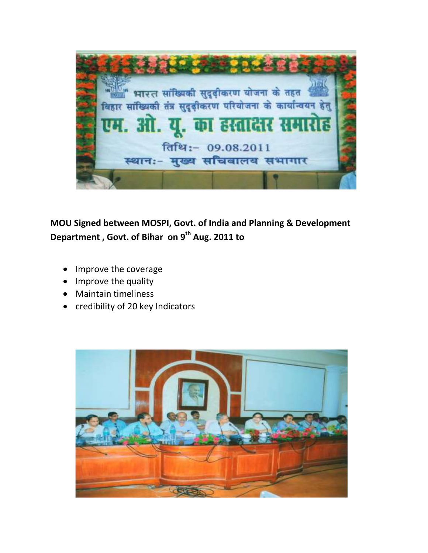जलाएँ भारत सांख्यिकी सुदृढ़ीकरण योजना के तहत बिहार सांख्यिकी तंत्र सुदृढ़ीकरण परियोजना के कार्यान्वयन हेतु . आ. यु. का हस्त तिथि:- 09.08.2011 स्थानः- मुख्य सचिवालय सभागार

## **MOU Signed between MOSPI, Govt. of India and Planning & Development Department , Govt. of Bihar on 9th Aug. 2011 to**

- Improve the coverage
- Improve the quality
- Maintain timeliness
- credibility of 20 key Indicators